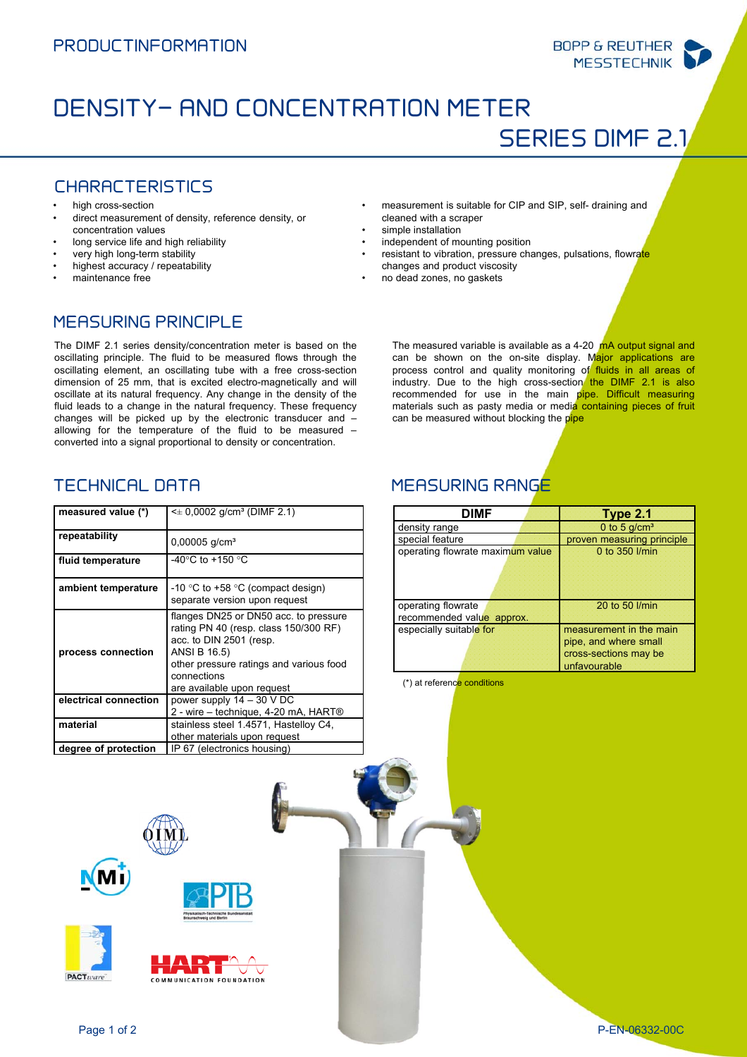# DENSITY- AND CONCENTRATION METER

SERIES DIMF 2.1

**BOPP & REUTHER MESSTECHNIK** 

## CHARACTERISTICS

- high cross-section
- direct measurement of density, reference density, or concentration values
- long service life and high reliability
- very high long-term stability
- highest accuracy / repeatability
- maintenance free
- measurement is suitable for CIP and SIP, self- draining and cleaned with a scraper
- simple installation
- independent of mounting position
- resistant to vibration, pressure changes, pulsations, flowrate
- changes and product viscosity
- no dead zones, no gaskets

## MEASURING PRINCIPLE

The DIMF 2.1 series density/concentration meter is based on the oscillating principle. The fluid to be measured flows through the oscillating element, an oscillating tube with a free cross-section dimension of 25 mm, that is excited electro-magnetically and will oscillate at its natural frequency. Any change in the density of the fluid leads to a change in the natural frequency. These frequency changes will be picked up by the electronic transducer and – allowing for the temperature of the fluid to be measured – converted into a signal proportional to density or concentration.

| measured value (*)    | $\leq$ 0,0002 g/cm <sup>3</sup> (DIMF 2.1)                                                                                                                                                                        |
|-----------------------|-------------------------------------------------------------------------------------------------------------------------------------------------------------------------------------------------------------------|
| repeatability         | $0,00005$ g/cm <sup>3</sup>                                                                                                                                                                                       |
| fluid temperature     | -40 $\degree$ C to +150 $\degree$ C                                                                                                                                                                               |
| ambient temperature   | -10 °C to +58 °C (compact design)<br>separate version upon request                                                                                                                                                |
| process connection    | flanges DN25 or DN50 acc. to pressure<br>rating PN 40 (resp. class 150/300 RF)<br>acc. to DIN 2501 (resp.<br>ANSI B 16.5)<br>other pressure ratings and various food<br>connections<br>are available upon request |
| electrical connection | power supply $14 - 30$ V DC<br>2 - wire – technique, 4-20 mA, HART®                                                                                                                                               |
| material              | stainless steel 1.4571, Hastelloy C4,<br>other materials upon request                                                                                                                                             |
| degree of protection  | IP 67 (electronics housing)                                                                                                                                                                                       |

## TECHNICAL DATA MEASURING RANGE

can be measured without blocking the pipe

| DIMF                                            | Type 2.1                                                                                  |
|-------------------------------------------------|-------------------------------------------------------------------------------------------|
| density range                                   | 0 to 5 $g/cm3$                                                                            |
| special feature                                 | proven measuring principle                                                                |
| operating flowrate maximum value                | 0 to 350 l/min                                                                            |
| operating flowrate<br>recommended value approx. | 20 to 50 l/min                                                                            |
| especially suitable for                         | measurement in the main<br>pipe, and where small<br>cross-sections may be<br>unfavourable |

The measured variable is available as a 4-20 mA output signal and can be shown on the on-site display. Major applications are process control and quality monitoring of fluids in all areas of industry. Due to the high cross-section the DIMF 2.1 is also recommended for use in the main pipe. Difficult measuring materials such as pasty media or media containing pieces of fruit

(\*) at reference conditions



**PACT**ware



MUNICATION